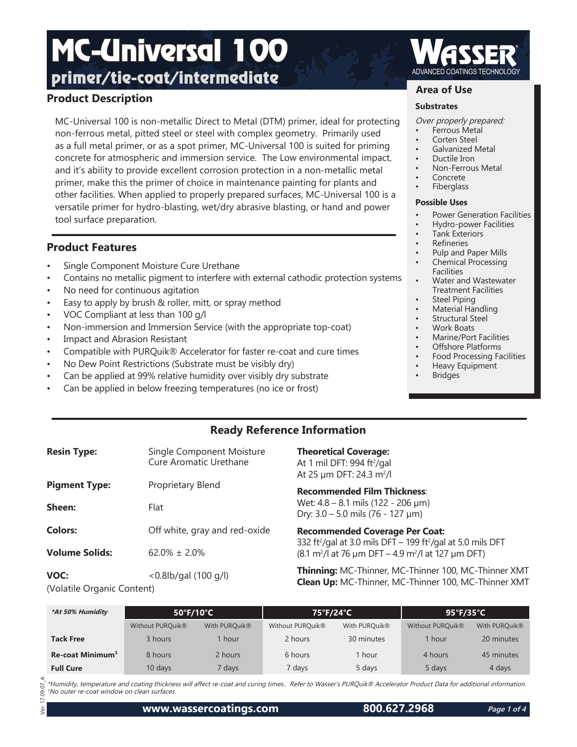# **Product Description**

MC-Universal 100 is non-metallic Direct to Metal (DTM) primer, ideal for protecting non-ferrous metal, pitted steel or steel with complex geometry. Primarily used as a full metal primer, or as a spot primer, MC-Universal 100 is suited for priming concrete for atmospheric and immersion service. The Low environmental impact, and it's ability to provide excellent corrosion protection in a non-metallic metal primer, make this the primer of choice in maintenance painting for plants and other facilities. When applied to properly prepared surfaces, MC-Universal 100 is a versatile primer for hydro-blasting, wet/dry abrasive blasting, or hand and power tool surface preparation.

# **Product Features**

- Single Component Moisture Cure Urethane
- Contains no metallic pigment to interfere with external cathodic protection systems
- No need for continuous agitation
- Easy to apply by brush & roller, mitt, or spray method
- VOC Compliant at less than 100 g/l
- Non-immersion and Immersion Service (with the appropriate top-coat)
- Impact and Abrasion Resistant
- Compatible with PURQuik® Accelerator for faster re-coat and cure times
- No Dew Point Restrictions (Substrate must be visibly dry)
- Can be applied at 99% relative humidity over visibly dry substrate
- Can be applied in below freezing temperatures (no ice or frost)

# **Area of Use**

#### **Substrates**

- Over properly prepared:
- Ferrous Metal
- Corten Steel
- Galvanized Metal
- Ductile Iron
	- Non-Ferrous Metal
- **Concrete**
- **Fiberglass**

#### **Possible Uses**

- Power Generation Facilities
- Hydro-power Facilities
- Tank Exteriors
- **Refineries**
- Pulp and Paper Mills
- Chemical Processing Facilities
- Water and Wastewater Treatment Facilities
- **Steel Piping**
- Material Handling
- Structural Steel
- Work Boats
- Marine/Port Facilities • Offshore Platforms
- Food Processing Facilities
- Heavy Equipment
- **Bridges**

# **Ready Reference Information**

| <b>Resin Type:</b>    | Single Component Moisture<br>Cure Aromatic Urethane | <b>Theoretical Coverage:</b><br>At 1 mil DFT: 994 ft <sup>2</sup> /gal<br>At 25 $\mu$ m DFT: 24.3 m <sup>2</sup> /l          |
|-----------------------|-----------------------------------------------------|------------------------------------------------------------------------------------------------------------------------------|
| <b>Pigment Type:</b>  | Proprietary Blend                                   | <b>Recommended Film Thickness:</b>                                                                                           |
| Sheen:                | Flat                                                | Wet: $4.8 - 8.1$ mils (122 - 206 µm)<br>Dry: $3.0 - 5.0$ mils (76 - 127 µm)                                                  |
| <b>Colors:</b>        | Off white, gray and red-oxide                       | <b>Recommended Coverage Per Coat:</b><br>332 ft <sup>2</sup> /gal at 3.0 mils DFT - 199 ft <sup>2</sup> /gal at 5.0 mils DFT |
| <b>Volume Solids:</b> | $62.0\% \pm 2.0\%$                                  | $(8.1 \text{ m}^2)$ at 76 µm DFT – 4.9 m <sup>2</sup> /l at 127 µm DFT)                                                      |
| VOC:                  | $< 0.8$ lb/gal (100 g/l)                            | Thinning: MC-Thinner, MC-Thinner 100, MC-Thinner XMT<br><b>Clean Up: MC-Thinner, MC-Thinner 100, MC-Thinner XMT</b>          |

(Volatile Organic Content)

| *At 50% Humidity             | $50^{\circ}$ F/10 $^{\circ}$ C |               | 75°F/24°C        |               | $95^{\circ}$ F/35 $^{\circ}$ C |               |
|------------------------------|--------------------------------|---------------|------------------|---------------|--------------------------------|---------------|
|                              | Without PURQuik®               | With PURQuik® | Without PURQuik® | With PURQuik® | Without PURQuik®               | With PURQuik® |
| <b>Tack Free</b>             | 3 hours                        | 1 hour        | 2 hours          | 30 minutes    | 1 hour                         | 20 minutes    |
| Re-coat Minimum <sup>1</sup> | 8 hours                        | 2 hours       | 6 hours          | hour          | 4 hours                        | 45 minutes    |
| <b>Full Cure</b>             | 10 days                        | 7 days        | 7 days           | 5 days        | 5 days                         | 4 days        |

\*Humidity, temperature and coating thickness will affect re-coat and curing times.. Refer to Wasser's PURQuik® Accelerator Product Data for additional information. <sup>1</sup>No outer re-coat window on clean surfaces.

Ver. 17.09.07\_A 09.07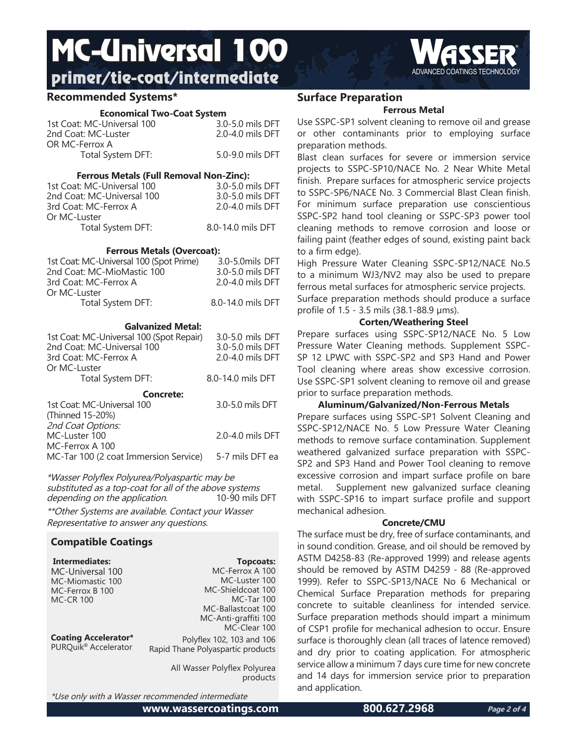# **Recommended Systems\***

#### **Economical Two-Coat System**

| 1st Coat: MC-Universal 100<br>2nd Coat: MC-Luster | 3.0-5.0 mils DFT<br>2.0-4.0 mils DFT |
|---------------------------------------------------|--------------------------------------|
| OR MC-Ferrox A                                    |                                      |
| Total System DFT:                                 | 5.0-9.0 mils DFT                     |
|                                                   |                                      |

#### **Ferrous Metals (Full Removal Non-Zinc):**

| 3.0-5.0 mils DFT  |
|-------------------|
| 3.0-5.0 mils DFT  |
| 2.0-4.0 mils DFT  |
|                   |
| 8.0-14.0 mils DFT |
|                   |

### **Ferrous Metals (Overcoat):**

| <b>Galvanized Metal:</b>                |                   |  |  |
|-----------------------------------------|-------------------|--|--|
| Total System DFT:                       | 8.0-14.0 mils DFT |  |  |
| Or MC-Luster                            |                   |  |  |
| 3rd Coat: MC-Ferrox A                   | 2.0-4.0 mils DFT  |  |  |
| 2nd Coat: MC-MioMastic 100              | 3.0-5.0 mils DFT  |  |  |
| 1st Coat: MC-Universal 100 (Spot Prime) | 3.0-5.0mils DFT   |  |  |

#### 1st Coat: MC-Universal 100 (Spot Repair) 3.0-5.0 mils DFT 2nd Coat: MC-Universal 100 3.0-5.0 mils DFT<br>3rd Coat: MC-Ferrox A 3.0-4.0 mils DFT 3rd Coat: MC-Ferrox A. Or MC-Luster Total System DFT: 8.0-14.0 mils DFT **Concrete:** 1st Coat: MC-Universal 100 3.0-5.0 mils DFT (Thinned 15-20%) *2nd Coat Options:*<br>MC-Luster 100 2.0-4.0 mils DFT MC-Ferrox A 100 MC-Tar 100 (2 coat Immersion Service) 5-7 mils DFT ea

\*Wasser Polyflex Polyurea/Polyaspartic may be substituted as a top-coat for all of the above systems<br>depending on the application. 10-90 mils DFT depending on the application.

\*\*Other Systems are available. Contact your Wasser Representative to answer any questions.

# **Compatible Coatings**

| Intermediates:                       | <b>Topcoats:</b>                         |
|--------------------------------------|------------------------------------------|
| MC-Universal 100<br>MC-Miomastic 100 | MC-Ferrox A 100<br>MC-Luster 100         |
| MC-Ferrox B 100                      | MC-Shieldcoat 100                        |
| <b>MC-CR 100</b>                     | <b>MC-Tar 100</b>                        |
|                                      | MC-Ballastcoat 100                       |
|                                      | MC-Anti-graffiti 100                     |
|                                      | MC-Clear 100                             |
| <b>Coating Accelerator*</b>          | Polyflex 102, 103 and 106                |
| PURQuik <sup>®</sup> Accelerator     | Rapid Thane Polyaspartic products        |
|                                      | All Wasser Polyflex Polyurea<br>products |

\*Use only with a Wasser recommended intermediate

**www.wassercoatings.com 800.627.2968**



# **Surface Preparation**

# **Ferrous Metal**

Use SSPC-SP1 solvent cleaning to remove oil and grease or other contaminants prior to employing surface preparation methods.

Blast clean surfaces for severe or immersion service projects to SSPC-SP10/NACE No. 2 Near White Metal finish. Prepare surfaces for atmospheric service projects to SSPC-SP6/NACE No. 3 Commercial Blast Clean finish. For minimum surface preparation use conscientious SSPC-SP2 hand tool cleaning or SSPC-SP3 power tool cleaning methods to remove corrosion and loose or failing paint (feather edges of sound, existing paint back to a firm edge).

High Pressure Water Cleaning SSPC-SP12/NACE No.5 to a minimum WJ3/NV2 may also be used to prepare ferrous metal surfaces for atmospheric service projects.

Surface preparation methods should produce a surface profile of 1.5 - 3.5 mils (38.1-88.9 μms).

# **Corten/Weathering Steel**

Prepare surfaces using SSPC-SP12/NACE No. 5 Low Pressure Water Cleaning methods. Supplement SSPC-SP 12 LPWC with SSPC-SP2 and SP3 Hand and Power Tool cleaning where areas show excessive corrosion. Use SSPC-SP1 solvent cleaning to remove oil and grease prior to surface preparation methods.

**Aluminum/Galvanized/Non-Ferrous Metals**

Prepare surfaces using SSPC-SP1 Solvent Cleaning and SSPC-SP12/NACE No. 5 Low Pressure Water Cleaning methods to remove surface contamination. Supplement weathered galvanized surface preparation with SSPC-SP2 and SP3 Hand and Power Tool cleaning to remove excessive corrosion and impart surface profile on bare metal. Supplement new galvanized surface cleaning with SSPC-SP16 to impart surface profile and support mechanical adhesion.

## **Concrete/CMU**

The surface must be dry, free of surface contaminants, and in sound condition. Grease, and oil should be removed by ASTM D4258-83 (Re-approved 1999) and release agents should be removed by ASTM D4259 - 88 (Re-approved 1999). Refer to SSPC-SP13/NACE No 6 Mechanical or Chemical Surface Preparation methods for preparing concrete to suitable cleanliness for intended service. Surface preparation methods should impart a minimum of CSP1 profile for mechanical adhesion to occur. Ensure surface is thoroughly clean (all traces of latence removed) and dry prior to coating application. For atmospheric service allow a minimum 7 days cure time for new concrete and 14 days for immersion service prior to preparation and application.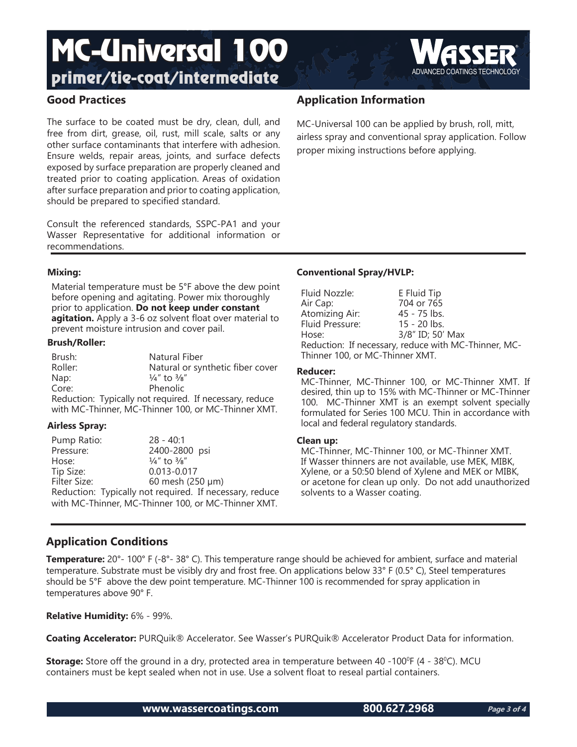

The surface to be coated must be dry, clean, dull, and free from dirt, grease, oil, rust, mill scale, salts or any other surface contaminants that interfere with adhesion. Ensure welds, repair areas, joints, and surface defects exposed by surface preparation are properly cleaned and treated prior to coating application. Areas of oxidation after surface preparation and prior to coating application, should be prepared to specified standard.

Consult the referenced standards, SSPC-PA1 and your Wasser Representative for additional information or recommendations.

# **Application Information**

MC-Universal 100 can be applied by brush, roll, mitt, airless spray and conventional spray application. Follow proper mixing instructions before applying.

## **Mixing:**

Material temperature must be 5°F above the dew point before opening and agitating. Power mix thoroughly prior to application. **Do not keep under constant agitation.** Apply a 3-6 oz solvent float over material to prevent moisture intrusion and cover pail.

#### **Brush/Roller:**

| Brush:                                                  | Natural Fiber                                       |  |
|---------------------------------------------------------|-----------------------------------------------------|--|
| Roller:                                                 | Natural or synthetic fiber cover                    |  |
| Nap:                                                    | $\frac{1}{4}$ " to $\frac{3}{8}$ "                  |  |
| Core:                                                   | Phenolic                                            |  |
| Reduction: Typically not required. If necessary, reduce |                                                     |  |
|                                                         | with MC-Thinner, MC-Thinner 100, or MC-Thinner XMT. |  |

## **Airless Spray:**

Pump Ratio: 28 - 40:1 Pressure: 2400-2800 psi<br>Hose:  $\frac{1}{4}$  to  $\frac{3}{8}$ " Hose:  $\frac{1}{4}$ " to  $\frac{3}{8}$ "<br>Tip Size: 0.013-0.0 Tip Size: 0.013-0.017  $60$  mesh (250  $\mu$ m) Reduction: Typically not required. If necessary, reduce with MC-Thinner, MC-Thinner 100, or MC-Thinner XMT.

# **Conventional Spray/HVLP:**

| Fluid Nozzle:                   | E Fluid Tip                                          |
|---------------------------------|------------------------------------------------------|
| Air Cap:                        | 704 or 765                                           |
| Atomizing Air:                  | 45 - 75 lbs.                                         |
| Fluid Pressure:                 | 15 - 20 lbs.                                         |
| Hose:                           | 3/8" ID; 50' Max                                     |
|                                 | Reduction: If necessary, reduce with MC-Thinner, MC- |
| Thinner 100, or MC-Thinner XMT. |                                                      |

#### **Reducer:**

MC-Thinner, MC-Thinner 100, or MC-Thinner XMT. If desired, thin up to 15% with MC-Thinner or MC-Thinner 100. MC-Thinner XMT is an exempt solvent specially formulated for Series 100 MCU. Thin in accordance with local and federal regulatory standards.

## **Clean up:**

MC-Thinner, MC-Thinner 100, or MC-Thinner XMT. If Wasser thinners are not available, use MEK, MIBK, Xylene, or a 50:50 blend of Xylene and MEK or MIBK, or acetone for clean up only. Do not add unauthorized solvents to a Wasser coating.

# **Application Conditions**

**Temperature:** 20°- 100° F (-8°- 38° C). This temperature range should be achieved for ambient, surface and material temperature. Substrate must be visibly dry and frost free. On applications below 33° F (0.5° C), Steel temperatures should be 5°F above the dew point temperature. MC-Thinner 100 is recommended for spray application in temperatures above 90° F.

**Relative Humidity:** 6% - 99%.

**Coating Accelerator:** PURQuik® Accelerator. See Wasser's PURQuik® Accelerator Product Data for information.

**Storage:** Store off the ground in a dry, protected area in temperature between 40 -100<sup>o</sup>F (4 - 38<sup>o</sup>C). MCU containers must be kept sealed when not in use. Use a solvent float to reseal partial containers.